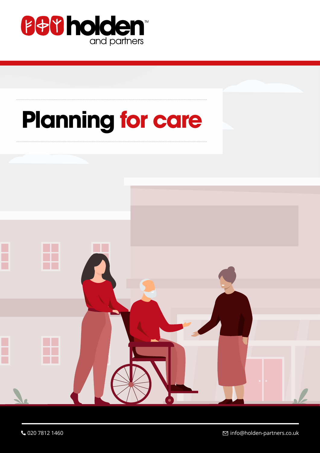

# **Planning for care**

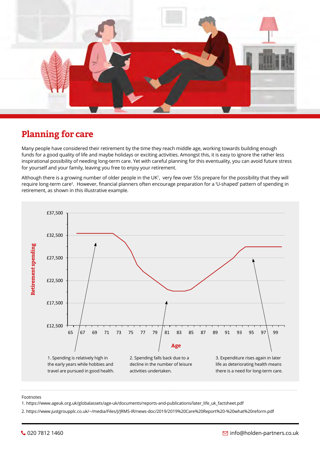

# **Planning for care**

Many people have considered their retirement by the time they reach middle age, working towards building enough funds for a good quality of life and maybe holidays or exciting activities. Amongst this, it is easy to ignore the rather less inspirational possibility of needing long-term care. Yet with careful planning for this eventuality, you can avoid future stress for yourself and your family, leaving you free to enjoy your retirement.

Although there is a growing number of older people in the UK1 , very few over 55s prepare for the possibility that they will require long-term care2 . However, financial planners often encourage preparation for a 'U-shaped' pattern of spending in retirement, as shown in this illustrative example.



#### Footnotes

1. https://www.ageuk.org.uk/globalassets/age-uk/documents/reports-and-publications/later\_life\_uk\_factsheet.pdf

2. https://www.justgroupplc.co.uk/~/media/Files/J/JRMS-IR/news-doc/2019/2019%20Care%20Report%20-%20what%20reform.pdf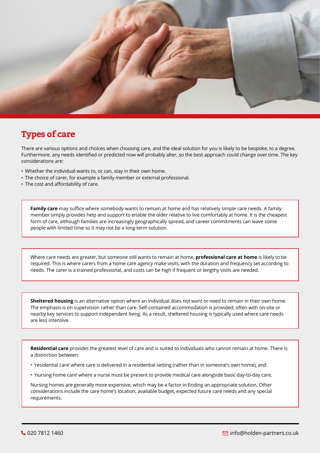

# **Types of care**

There are various options and choices when choosing care, and the ideal solution for you is likely to be bespoke, to a degree. Furthermore, any needs identified or predicted now will probably alter, so the best approach could change over time. The key considerations are:

- Whether the individual wants to, or can, stay in their own home.
- The choice of carer, for example a family member or external professional.
- The cost and affordability of care.

**Family care** may suffice where somebody wants to remain at home and has relatively simple care needs. A family member simply provides help and support to enable the older relative to live comfortably at home. It is the cheapest form of care, although families are increasingly geographically spread, and career commitments can leave some people with limited time so it may not be a long-term solution.

Where care needs are greater, but someone still wants to remain at home, **professional care at home** is likely to be required. This is where carers from a home care agency make visits, with the duration and frequency set according to needs. The carer is a trained professional, and costs can be high if frequent or lengthy visits are needed.

**Sheltered housing** is an alternative option where an individual does not want or need to remain in their own home. The emphasis is on supervision rather than care. Self-contained accommodation is provided, often with on-site or nearby key services to support independent living. As a result, sheltered housing is typically used where care needs are less intensive.

**Residential care** provides the greatest level of care and is suited to individuals who cannot remain at home. There is a distinction between:

- 'residential care' where care is delivered in a residential setting (rather than in someone's own home), and
- 'nursing home care' where a nurse must be present to provide medical care alongside basic day-to-day care.

Nursing homes are generally more expensive, which may be a factor in finding an appropriate solution. Other considerations include the care home's location, available budget, expected future care needs and any special requirements.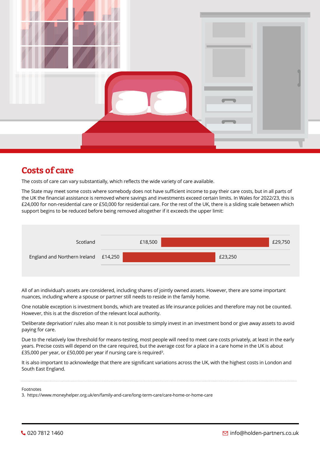

# **Costs of care**

The costs of care can vary substantially, which reflects the wide variety of care available.

The State may meet some costs where somebody does not have sufficient income to pay their care costs, but in all parts of the UK the financial assistance is removed where savings and investments exceed certain limits. In Wales for 2022/23, this is £24,000 for non-residential care or £50,000 for residential care. For the rest of the UK, there is a sliding scale between which support begins to be reduced before being removed altogether if it exceeds the upper limit:



All of an individual's assets are considered, including shares of jointly owned assets. However, there are some important nuances, including where a spouse or partner still needs to reside in the family home.

One notable exception is investment bonds, which are treated as life insurance policies and therefore may not be counted. However, this is at the discretion of the relevant local authority.

'Deliberate deprivation' rules also mean it is not possible to simply invest in an investment bond or give away assets to avoid paying for care.

Due to the relatively low threshold for means-testing, most people will need to meet care costs privately, at least in the early years. Precise costs will depend on the care required, but the average cost for a place in a care home in the UK is about £35,000 per year, or £50,000 per year if nursing care is required<sup>3</sup>.

It is also important to acknowledge that there are significant variations across the UK, with the highest costs in London and South East England.

Footnotes

3. https://www.moneyhelper.org.uk/en/family-and-care/long-term-care/care-home-or-home-care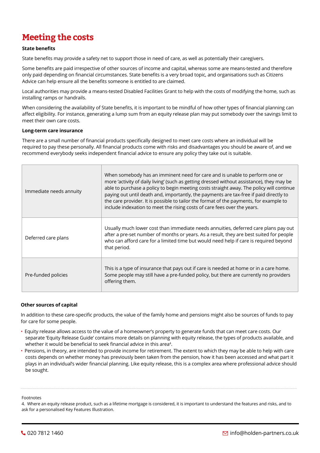# **Meeting the costs**

#### **State benefits**

State benefits may provide a safety net to support those in need of care, as well as potentially their caregivers.

Some benefits are paid irrespective of other sources of income and capital, whereas some are means-tested and therefore only paid depending on financial circumstances. State benefits is a very broad topic, and organisations such as Citizens Advice can help ensure all the benefits someone is entitled to are claimed.

Local authorities may provide a means-tested Disabled Facilities Grant to help with the costs of modifying the home, such as installing ramps or handrails.

When considering the availability of State benefits, it is important to be mindful of how other types of financial planning can affect eligibility. For instance, generating a lump sum from an equity release plan may put somebody over the savings limit to meet their own care costs.

#### **Long-term care insurance**

There are a small number of financial products specifically designed to meet care costs where an individual will be required to pay these personally. All financial products come with risks and disadvantages you should be aware of, and we recommend everybody seeks independent financial advice to ensure any policy they take out is suitable.

| Immediate needs annuity | When somebody has an imminent need for care and is unable to perform one or<br>more 'activity of daily living' (such as getting dressed without assistance), they may be<br>able to purchase a policy to begin meeting costs straight away. The policy will continue<br>paying out until death and, importantly, the payments are tax-free if paid directly to<br>the care provider. It is possible to tailor the format of the payments, for example to<br>include indexation to meet the rising costs of care fees over the years. |
|-------------------------|--------------------------------------------------------------------------------------------------------------------------------------------------------------------------------------------------------------------------------------------------------------------------------------------------------------------------------------------------------------------------------------------------------------------------------------------------------------------------------------------------------------------------------------|
| Deferred care plans     | Usually much lower cost than immediate needs annuities, deferred care plans pay out<br>after a pre-set number of months or years. As a result, they are best suited for people<br>who can afford care for a limited time but would need help if care is required beyond<br>that period.                                                                                                                                                                                                                                              |
| Pre-funded policies     | This is a type of insurance that pays out if care is needed at home or in a care home.<br>Some people may still have a pre-funded policy, but there are currently no providers<br>offering them.                                                                                                                                                                                                                                                                                                                                     |

#### **Other sources of capital**

In addition to these care-specific products, the value of the family home and pensions might also be sources of funds to pay for care for some people.

- Equity release allows access to the value of a homeowner's property to generate funds that can meet care costs. Our separate 'Equity Release Guide' contains more details on planning with equity release, the types of products available, and whether it would be beneficial to seek financial advice in this area<sup>4</sup>.
- Pensions, in theory, are intended to provide income for retirement. The extent to which they may be able to help with care costs depends on whether money has previously been taken from the pension, how it has been accessed and what part it plays in an individual's wider financial planning. Like equity release, this is a complex area where professional advice should be sought.

#### Footnotes

4. Where an equity release product, such as a lifetime mortgage is considered, it is important to understand the features and risks, and to ask for a personalised Key Features Illustration.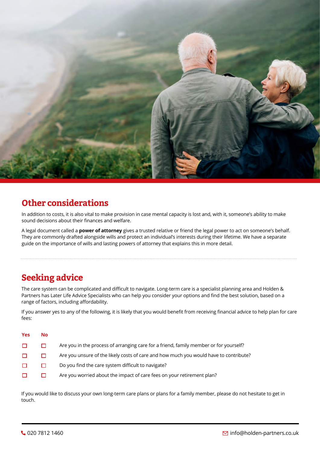

## **Other considerations**

In addition to costs, it is also vital to make provision in case mental capacity is lost and, with it, someone's ability to make sound decisions about their finances and welfare.

A legal document called a **power of attorney** gives a trusted relative or friend the legal power to act on someone's behalf. They are commonly drafted alongside wills and protect an individual's interests during their lifetime. We have a separate guide on the importance of wills and lasting powers of attorney that explains this in more detail.

# **Seeking advice**

The care system can be complicated and difficult to navigate. Long-term care is a specialist planning area and Holden & Partners has Later Life Advice Specialists who can help you consider your options and find the best solution, based on a range of factors, including affordability.

If you answer yes to any of the following, it is likely that you would benefit from receiving financial advice to help plan for care fees:

| <b>Yes</b> | No. |                                                                                       |
|------------|-----|---------------------------------------------------------------------------------------|
| $\Box$     |     | Are you in the process of arranging care for a friend, family member or for yourself? |
| □          |     | Are you unsure of the likely costs of care and how much you would have to contribute? |
| □          |     | Do you find the care system difficult to navigate?                                    |
|            |     | Are you worried about the impact of care fees on your retirement plan?                |

If you would like to discuss your own long-term care plans or plans for a family member, please do not hesitate to get in touch.